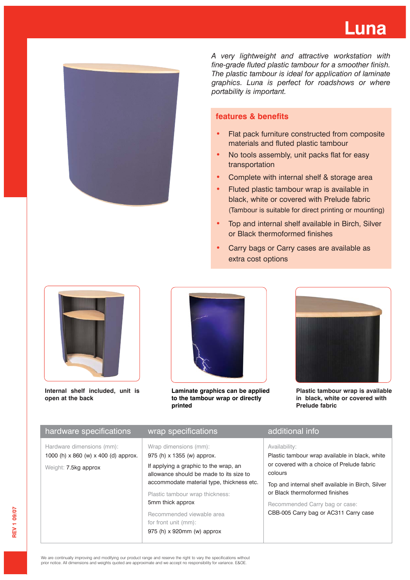

*A very lightweight and attractive workstation with fine-grade fluted plastic tambour for a smoother finish. The plastic tambour is ideal for application of laminate graphics. Luna is perfect for roadshows or where portability is important.*

## **features & benefits**

- Flat pack furniture constructed from composite materials and fluted plastic tambour
- No tools assembly, unit packs flat for easy transportation
- Complete with internal shelf & storage area
- Fluted plastic tambour wrap is available in black, white or covered with Prelude fabric (Tambour is suitable for direct printing or mounting)
- Top and internal shelf available in Birch, Silver or Black thermoformed finishes
- Carry bags or Carry cases are available as extra cost options



**Internal shelf included, unit is open at the back**



**Laminate graphics can be applied to the tambour wrap or directly printed**



**Plastic tambour wrap is available in black, white or covered with Prelude fabric**

|                                                                                                                                                                                                                                                                                                                                                                                                                                                                                                                             | hardware specifications<br>wrap specifications | additional info                                                                                                                                                                            |
|-----------------------------------------------------------------------------------------------------------------------------------------------------------------------------------------------------------------------------------------------------------------------------------------------------------------------------------------------------------------------------------------------------------------------------------------------------------------------------------------------------------------------------|------------------------------------------------|--------------------------------------------------------------------------------------------------------------------------------------------------------------------------------------------|
| Wrap dimensions (mm):<br>Hardware dimensions (mm):<br>Availability:<br>1000 (h) x 860 (w) x 400 (d) approx.<br>975 (h) x 1355 (w) approx.<br>If applying a graphic to the wrap, an<br>Weight: 7.5kg approx<br>colours<br>allowance should be made to its size to<br>accommodate material type, thickness etc.<br>or Black thermoformed finishes<br>Plastic tambour wrap thickness:<br>5mm thick approx<br>Recommended Carry bag or case:<br>Recommended viewable area<br>for front unit (mm):<br>975 (h) x 920mm (w) approx |                                                | Plastic tambour wrap available in black, white<br>or covered with a choice of Prelude fabric<br>Top and internal shelf available in Birch, Silver<br>CBB-005 Carry bag or AC311 Carry case |

We are continually improving and modifying our product range and reserve the right to vary the specifications without prior notice. All dimensions and weights quoted are approximate and we accept no responsibility for variance. E&OE.